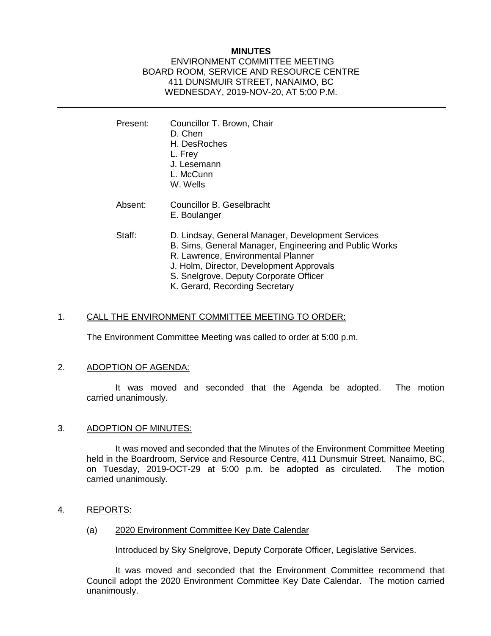## **MINUTES**

## ENVIRONMENT COMMITTEE MEETING BOARD ROOM, SERVICE AND RESOURCE CENTRE 411 DUNSMUIR STREET, NANAIMO, BC WEDNESDAY, 2019-NOV-20, AT 5:00 P.M.

Present: Councillor T. Brown, Chair D. Chen H. DesRoches L. Frey J. Lesemann L. McCunn W. Wells Absent: Councillor B. Geselbracht E. Boulanger Staff: D. Lindsay, General Manager, Development Services B. Sims, General Manager, Engineering and Public Works R. Lawrence, Environmental Planner J. Holm, Director, Development Approvals S. Snelgrove, Deputy Corporate Officer K. Gerard, Recording Secretary

## 1. CALL THE ENVIRONMENT COMMITTEE MEETING TO ORDER:

The Environment Committee Meeting was called to order at 5:00 p.m.

#### 2. ADOPTION OF AGENDA:

It was moved and seconded that the Agenda be adopted. The motion carried unanimously.

#### 3. ADOPTION OF MINUTES:

It was moved and seconded that the Minutes of the Environment Committee Meeting held in the Boardroom, Service and Resource Centre, 411 Dunsmuir Street, Nanaimo, BC, on Tuesday, 2019-OCT-29 at 5:00 p.m. be adopted as circulated. The motion carried unanimously.

#### 4. REPORTS:

(a) 2020 Environment Committee Key Date Calendar

Introduced by Sky Snelgrove, Deputy Corporate Officer, Legislative Services.

It was moved and seconded that the Environment Committee recommend that Council adopt the 2020 Environment Committee Key Date Calendar. The motion carried unanimously.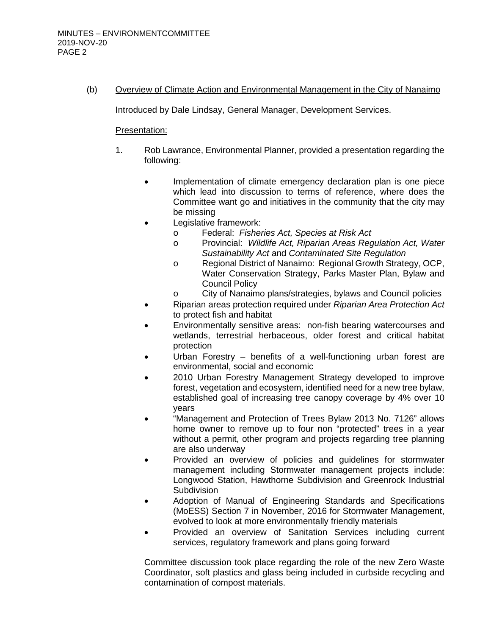# (b) Overview of Climate Action and Environmental Management in the City of Nanaimo

Introduced by Dale Lindsay, General Manager, Development Services.

## Presentation:

- 1. Rob Lawrance, Environmental Planner, provided a presentation regarding the following:
	- Implementation of climate emergency declaration plan is one piece which lead into discussion to terms of reference, where does the Committee want go and initiatives in the community that the city may be missing
	- Legislative framework:
		- o Federal: *Fisheries Act, Species at Risk Act*
			- o Provincial: *Wildlife Act, Riparian Areas Regulation Act, Water Sustainability Act* and *Contaminated Site Regulation*
		- o Regional District of Nanaimo: Regional Growth Strategy, OCP, Water Conservation Strategy, Parks Master Plan, Bylaw and Council Policy
		- o City of Nanaimo plans/strategies, bylaws and Council policies
	- Riparian areas protection required under *Riparian Area Protection Act* to protect fish and habitat
	- Environmentally sensitive areas: non-fish bearing watercourses and wetlands, terrestrial herbaceous, older forest and critical habitat protection
	- Urban Forestry benefits of a well-functioning urban forest are environmental, social and economic
	- 2010 Urban Forestry Management Strategy developed to improve forest, vegetation and ecosystem, identified need for a new tree bylaw, established goal of increasing tree canopy coverage by 4% over 10 years
	- "Management and Protection of Trees Bylaw 2013 No. 7126" allows home owner to remove up to four non "protected" trees in a year without a permit, other program and projects regarding tree planning are also underway
	- Provided an overview of policies and guidelines for stormwater management including Stormwater management projects include: Longwood Station, Hawthorne Subdivision and Greenrock Industrial **Subdivision**
	- Adoption of Manual of Engineering Standards and Specifications (MoESS) Section 7 in November, 2016 for Stormwater Management, evolved to look at more environmentally friendly materials
	- Provided an overview of Sanitation Services including current services, regulatory framework and plans going forward

Committee discussion took place regarding the role of the new Zero Waste Coordinator, soft plastics and glass being included in curbside recycling and contamination of compost materials.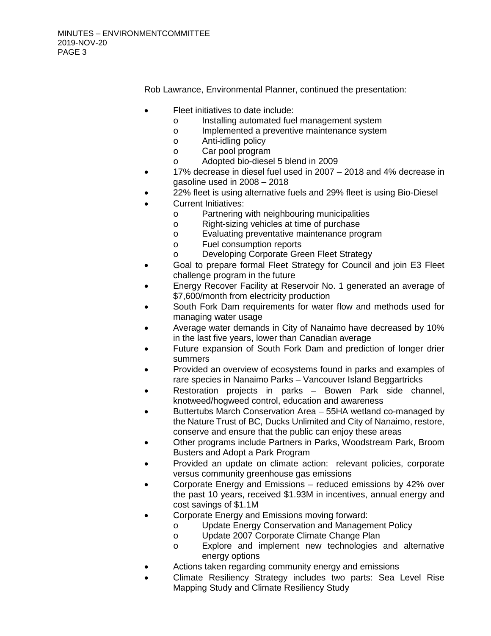Rob Lawrance, Environmental Planner, continued the presentation:

- Fleet initiatives to date include:
	- o Installing automated fuel management system
	- o Implemented a preventive maintenance system
	- o Anti-idling policy
	- o Car pool program
	- o Adopted bio-diesel 5 blend in 2009
- 17% decrease in diesel fuel used in 2007 2018 and 4% decrease in gasoline used in 2008 – 2018
- 22% fleet is using alternative fuels and 29% fleet is using Bio-Diesel
- Current Initiatives:
	- o Partnering with neighbouring municipalities<br>
	o Right-sizing vehicles at time of purchase
	- Right-sizing vehicles at time of purchase
	- o Evaluating preventative maintenance program<br>
	o Fuel consumption reports
	- Fuel consumption reports
	- o Developing Corporate Green Fleet Strategy
- Goal to prepare formal Fleet Strategy for Council and join E3 Fleet challenge program in the future
- Energy Recover Facility at Reservoir No. 1 generated an average of \$7,600/month from electricity production
- South Fork Dam requirements for water flow and methods used for managing water usage
- Average water demands in City of Nanaimo have decreased by 10% in the last five years, lower than Canadian average
- Future expansion of South Fork Dam and prediction of longer drier summers
- Provided an overview of ecosystems found in parks and examples of rare species in Nanaimo Parks – Vancouver Island Beggartricks
- Restoration projects in parks Bowen Park side channel, knotweed/hogweed control, education and awareness
- Buttertubs March Conservation Area 55HA wetland co-managed by the Nature Trust of BC, Ducks Unlimited and City of Nanaimo, restore, conserve and ensure that the public can enjoy these areas
- Other programs include Partners in Parks, Woodstream Park, Broom Busters and Adopt a Park Program
- Provided an update on climate action: relevant policies, corporate versus community greenhouse gas emissions
- Corporate Energy and Emissions reduced emissions by 42% over the past 10 years, received \$1.93M in incentives, annual energy and cost savings of \$1.1M
	- Corporate Energy and Emissions moving forward:
		- o Update Energy Conservation and Management Policy<br>
		o Update 2007 Corporate Climate Change Plan
		- o Update 2007 Corporate Climate Change Plan<br>o Explore and implement new technologies
		- Explore and implement new technologies and alternative energy options
- Actions taken regarding community energy and emissions
- Climate Resiliency Strategy includes two parts: Sea Level Rise Mapping Study and Climate Resiliency Study